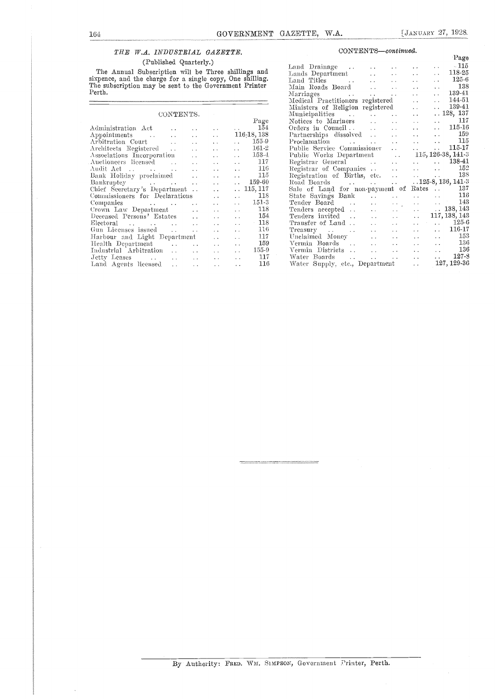### THE W.A. INDUSTRIAL GAZETTE.

### (Published Quarterly.)

The Annual Subscription will be Three shillings and  $L$  and sixpence, and the charge for a single copy, One shilling.<br>The subscription may be sent to the Government Printer<br>Perth.

| CONTENTS.                                         |                      |                                                           |                                 | мп<br>Mu   |
|---------------------------------------------------|----------------------|-----------------------------------------------------------|---------------------------------|------------|
|                                                   |                      |                                                           | Page                            | Not        |
| Administration Act<br>$\ddot{\phantom{0}}$        | $\ddot{\phantom{1}}$ |                                                           | 154<br><b>Contractor</b>        | Ord        |
| Appointments<br>$\sim$ $\sim$                     | $\ddot{\phantom{a}}$ | $\ddot{\phantom{0}}$                                      | $116-18,138$                    | Par        |
| Arbitration Court<br><b>Contract</b>              | $\ddot{\phantom{a}}$ | $\ddot{\phantom{0}}$                                      | 155-9<br><b>Carl Corp.</b>      | $Pr_0$     |
| Architects Registered                             | $\ddotsc$            | $\ddotsc$                                                 | $161 - 2$<br>$\sim$ $\sim$      | Put        |
| Associations Incorporation                        | $\ddot{\phantom{0}}$ | $\ddot{\phantom{1}}$                                      | $153 - 1$<br>$\ddotsc$          | Pub        |
| Auctioneers licensed<br>$\sim$                    | $\ddot{\phantom{a}}$ | . .                                                       | 117<br>$\sim$ .                 | Reg        |
| Audit Act                                         |                      | $\ddot{\phantom{0}}$                                      | 116<br>$\ddot{\phantom{0}}$     | Reg        |
| Bank Holiday proclaimed                           | $\ddot{\phantom{a}}$ | $\ddot{\phantom{0}}$                                      | 115<br>$\ddot{\phantom{0}}$     | Reg        |
| Bankruptcy                                        | $\ddot{\phantom{a}}$ | $\ddot{\phantom{0}}$                                      | 159-60<br>$\ddot{\phantom{a}}$  | Roa        |
| Chief Secretary's Department                      |                      | $\ddot{\phantom{0}}$                                      | 115, 117<br>i.                  | Sak        |
| Commissioners for Declarations                    |                      | $\ddot{\phantom{0}}$                                      | 118<br>$\ddot{\phantom{0}}$     | Sta        |
| Companies<br>$\sim$ $\sim$ $\sim$                 |                      | $\ddot{\phantom{0}}$                                      | $151-3$<br>$\ddot{\phantom{a}}$ | Ten        |
| Crown Law Department<br><b>Contractor</b>         |                      | $\ddot{\phantom{0}}$                                      | 118<br>$\ddot{\phantom{0}}$     | Ten        |
| Deceased Persons' Estates                         |                      | $\ddot{\phantom{1}}$                                      | 154<br>$\ddot{\phantom{a}}$     | Ten        |
| <b>Contractor</b>                                 |                      | $\ddot{\phantom{1}}$                                      | $-118$<br>$\ddot{\phantom{0}}$  | Tra        |
| Gun Licenses issued                               | $\ddot{\phantom{a}}$ | $\ddot{\phantom{0}}$                                      | 116<br>$\ddot{\phantom{0}}$     | Tre        |
| Harbour and Light Department                      |                      | $\sim$ $\sim$                                             | 117<br>$\ddot{\phantom{0}}$     | Une        |
| Health Department<br><b>Contractor</b> Contractor | $\ddot{\phantom{a}}$ | $\ddotsc$                                                 | 159<br>$\ddotsc$                | Ver        |
| Industrial Arbitration                            |                      | and the con-                                              | 155-9<br>$\ddot{\phantom{0}}$   | <b>Yer</b> |
|                                                   |                      | $\mathbf{r}$ , $\mathbf{r}$ , $\mathbf{r}$ , $\mathbf{r}$ | 117<br>. .                      | Wa         |
| Land Agents licensed<br>$\ddot{\phantom{a}}$      | $\sim$ $\sim$        | $\sim$ $\sim$                                             | 116<br>$\ddot{\phantom{0}}$     | Wa         |
|                                                   |                      |                                                           |                                 |            |

#### $CONTENTS—continued.$

|                      |                                                                                                                                                                                                                                                                                              | Page |
|----------------------|----------------------------------------------------------------------------------------------------------------------------------------------------------------------------------------------------------------------------------------------------------------------------------------------|------|
|                      | $\begin{tabular}{lcccccc} Land\; Drainage & . & . & . & . & . & . & . & . & . & 115 \\ Lands\; Department & . & . & . & . & . & . & . & 118-25 \\ \end{tabular}$                                                                                                                             |      |
| $_{\rm and}$         |                                                                                                                                                                                                                                                                                              |      |
| ng.                  |                                                                                                                                                                                                                                                                                              |      |
| $\operatorname{ter}$ |                                                                                                                                                                                                                                                                                              |      |
|                      | Land Titles<br>Main Roads Board<br>Marriages<br>Marriages<br>Marriages<br>2018<br>2019<br>2018<br>2019<br>2019<br>2019<br>2019<br>2019<br>2019<br>2019<br>2019<br>2019<br>2019<br>2019<br>2019<br>2019<br>2019<br>2019<br>2019<br>2019<br>2019<br>2019<br>2019<br>2019<br>2019<br>2019<br>20 |      |
|                      |                                                                                                                                                                                                                                                                                              |      |
|                      |                                                                                                                                                                                                                                                                                              |      |
|                      | Medical Practitioners registered<br>Ministers of Religion registered<br>Municipalities<br>Numicipalities<br>Critics to Mariners<br>Critics in Council<br>Critics in Council<br>Critics in Council<br>Critics in Council<br>Critics in Council<br>C                                           |      |
| $_{\rm age}$         |                                                                                                                                                                                                                                                                                              |      |
| 154                  |                                                                                                                                                                                                                                                                                              |      |
| 138                  |                                                                                                                                                                                                                                                                                              |      |
| $5-9$                |                                                                                                                                                                                                                                                                                              |      |
| $1-2$                |                                                                                                                                                                                                                                                                                              |      |
| i3-4                 |                                                                                                                                                                                                                                                                                              |      |
| 117                  | Partners in Council<br>Partners dissolved<br>Proclamation<br>Proclamation<br>Proclamation<br>Proclamation<br>Proclamation<br>Proclamation<br>Public Service Commissioner<br>115, 126-38, 141-3<br>Registrar General<br>Registrar of Companies<br>159<br>                                     |      |
| 116                  |                                                                                                                                                                                                                                                                                              |      |
| 115                  |                                                                                                                                                                                                                                                                                              |      |
| $-60$                | Registration of Births, etc. 138<br>Road Boards 125-8, 136, 141-3                                                                                                                                                                                                                            |      |
| 117                  | Sale of Land for non-payment of Rates  [137                                                                                                                                                                                                                                                  |      |
| 118                  |                                                                                                                                                                                                                                                                                              |      |
| $51-3$               |                                                                                                                                                                                                                                                                                              |      |
| 118                  |                                                                                                                                                                                                                                                                                              |      |
| 154                  |                                                                                                                                                                                                                                                                                              |      |
| 118                  |                                                                                                                                                                                                                                                                                              |      |
| 116                  |                                                                                                                                                                                                                                                                                              |      |
| 117                  |                                                                                                                                                                                                                                                                                              |      |
| 159                  | Vermin Boards      136                                                                                                                                                                                                                                                                       |      |
|                      |                                                                                                                                                                                                                                                                                              |      |
|                      |                                                                                                                                                                                                                                                                                              |      |
|                      | 75-9 Vermin Districts<br>1966 - The Water Boards<br>116 - Water Supply, etc., Department<br>116 - Water Supply, etc., Department<br>127, 129-36                                                                                                                                              |      |
|                      |                                                                                                                                                                                                                                                                                              |      |

 $\equiv$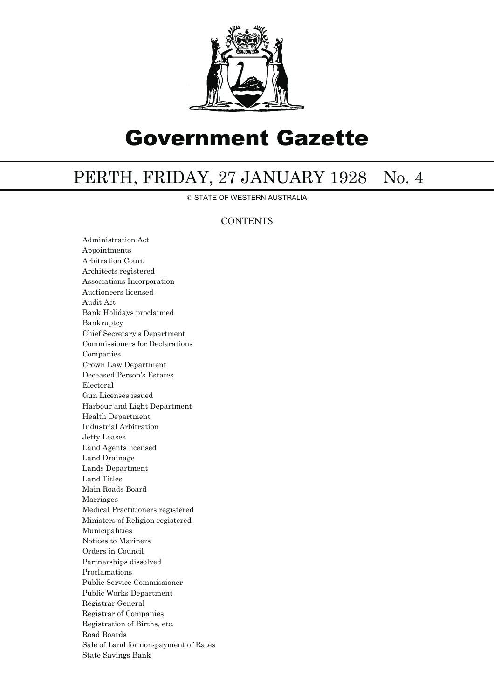

# Government Gazette

## PERTH, FRIDAY, 27 JANUARY 1928 No. 4

© STATE OF WESTERN AUSTRALIA

### **CONTENTS**

Administration Act Appointments Arbitration Court Architects registered Associations Incorporation Auctioneers licensed Audit Act Bank Holidays proclaimed Bankruptcy Chief Secretary's Department Commissioners for Declarations Companies Crown Law Department Deceased Person's Estates Electoral Gun Licenses issued Harbour and Light Department Health Department Industrial Arbitration Jetty Leases Land Agents licensed Land Drainage Lands Department Land Titles Main Roads Board Marriages Medical Practitioners registered Ministers of Religion registered Municipalities Notices to Mariners Orders in Council Partnerships dissolved Proclamations Public Service Commissioner Public Works Department Registrar General Registrar of Companies Registration of Births, etc. Road Boards Sale of Land for non-payment of Rates State Savings Bank